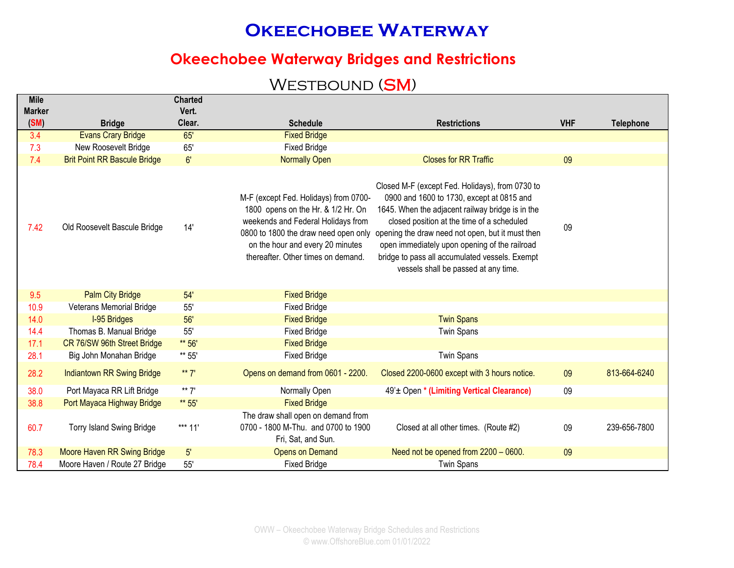### **Okeechobee Waterway Bridges and Restrictions**

### WESTBOUND (SM)

| <b>Mile</b>           |                                            | <b>Charted</b>  |                                                                                                                                                                                                                                     |                                                                                                                                                                                                                                                                                                                                                                                               |            |                  |
|-----------------------|--------------------------------------------|-----------------|-------------------------------------------------------------------------------------------------------------------------------------------------------------------------------------------------------------------------------------|-----------------------------------------------------------------------------------------------------------------------------------------------------------------------------------------------------------------------------------------------------------------------------------------------------------------------------------------------------------------------------------------------|------------|------------------|
| <b>Marker</b><br>(SM) |                                            | Vert.<br>Clear. |                                                                                                                                                                                                                                     |                                                                                                                                                                                                                                                                                                                                                                                               | <b>VHF</b> |                  |
| 3.4                   | <b>Bridge</b><br><b>Evans Crary Bridge</b> | 65'             | <b>Schedule</b><br><b>Fixed Bridge</b>                                                                                                                                                                                              | <b>Restrictions</b>                                                                                                                                                                                                                                                                                                                                                                           |            | <b>Telephone</b> |
| 7.3                   | New Roosevelt Bridge                       | 65'             | <b>Fixed Bridge</b>                                                                                                                                                                                                                 |                                                                                                                                                                                                                                                                                                                                                                                               |            |                  |
| 7.4                   | <b>Brit Point RR Bascule Bridge</b>        | 6'              | <b>Normally Open</b>                                                                                                                                                                                                                | <b>Closes for RR Traffic</b>                                                                                                                                                                                                                                                                                                                                                                  | 09         |                  |
| 7.42                  | Old Roosevelt Bascule Bridge               | 14'             | M-F (except Fed. Holidays) from 0700-<br>1800 opens on the Hr. & 1/2 Hr. On<br>weekends and Federal Holidays from<br>0800 to 1800 the draw need open only<br>on the hour and every 20 minutes<br>thereafter. Other times on demand. | Closed M-F (except Fed. Holidays), from 0730 to<br>0900 and 1600 to 1730, except at 0815 and<br>1645. When the adjacent railway bridge is in the<br>closed position at the time of a scheduled<br>opening the draw need not open, but it must then<br>open immediately upon opening of the railroad<br>bridge to pass all accumulated vessels. Exempt<br>vessels shall be passed at any time. | 09         |                  |
| 9.5                   | <b>Palm City Bridge</b>                    | 54'             | <b>Fixed Bridge</b>                                                                                                                                                                                                                 |                                                                                                                                                                                                                                                                                                                                                                                               |            |                  |
| 10.9                  | Veterans Memorial Bridge                   | 55'             | <b>Fixed Bridge</b>                                                                                                                                                                                                                 |                                                                                                                                                                                                                                                                                                                                                                                               |            |                  |
| 14.0                  | <b>I-95 Bridges</b>                        | 56'             | <b>Fixed Bridge</b>                                                                                                                                                                                                                 | <b>Twin Spans</b>                                                                                                                                                                                                                                                                                                                                                                             |            |                  |
| 14.4                  | Thomas B. Manual Bridge                    | 55'             | <b>Fixed Bridge</b>                                                                                                                                                                                                                 | <b>Twin Spans</b>                                                                                                                                                                                                                                                                                                                                                                             |            |                  |
| 17.1                  | CR 76/SW 96th Street Bridge                | ** 56'          | <b>Fixed Bridge</b>                                                                                                                                                                                                                 |                                                                                                                                                                                                                                                                                                                                                                                               |            |                  |
| 28.1                  | Big John Monahan Bridge                    | ** 55'          | <b>Fixed Bridge</b>                                                                                                                                                                                                                 | <b>Twin Spans</b>                                                                                                                                                                                                                                                                                                                                                                             |            |                  |
| 28.2                  | <b>Indiantown RR Swing Bridge</b>          | ** $7'$         | Opens on demand from 0601 - 2200.                                                                                                                                                                                                   | Closed 2200-0600 except with 3 hours notice.                                                                                                                                                                                                                                                                                                                                                  | 09         | 813-664-6240     |
| 38.0                  | Port Mayaca RR Lift Bridge                 | ** $7'$         | Normally Open                                                                                                                                                                                                                       | 49' ± Open * (Limiting Vertical Clearance)                                                                                                                                                                                                                                                                                                                                                    | 09         |                  |
| 38.8                  | Port Mayaca Highway Bridge                 | ** 55'          | <b>Fixed Bridge</b>                                                                                                                                                                                                                 |                                                                                                                                                                                                                                                                                                                                                                                               |            |                  |
| 60.7                  | <b>Torry Island Swing Bridge</b>           | *** $11'$       | The draw shall open on demand from<br>0700 - 1800 M-Thu. and 0700 to 1900<br>Fri, Sat, and Sun.                                                                                                                                     | Closed at all other times. (Route #2)                                                                                                                                                                                                                                                                                                                                                         | 09         | 239-656-7800     |
| 78.3                  | Moore Haven RR Swing Bridge                | 5'              | <b>Opens on Demand</b>                                                                                                                                                                                                              | Need not be opened from 2200 - 0600.                                                                                                                                                                                                                                                                                                                                                          | 09         |                  |
| 78.4                  | Moore Haven / Route 27 Bridge              | 55'             | <b>Fixed Bridge</b>                                                                                                                                                                                                                 | <b>Twin Spans</b>                                                                                                                                                                                                                                                                                                                                                                             |            |                  |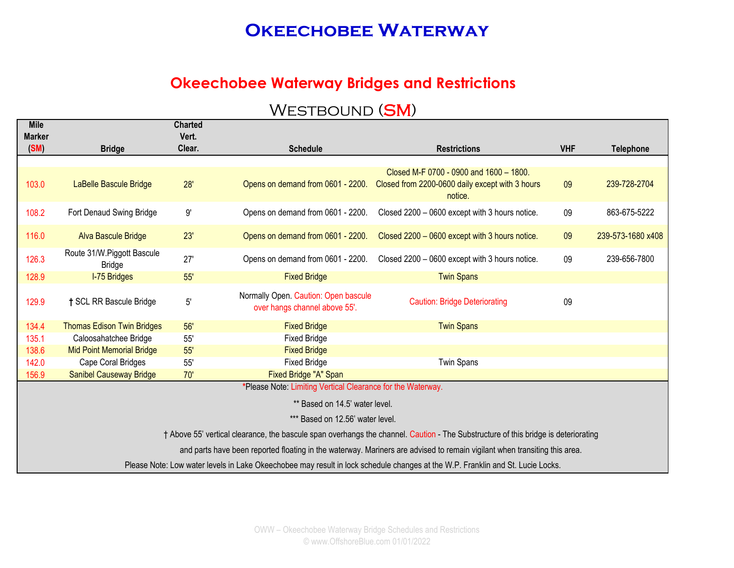#### **Okeechobee Waterway Bridges and Restrictions**

| <b>Mile</b><br><b>Marker</b> |                                             | <b>Charted</b><br>Vert. |                                                                       |                                                                                                                                    |            |                   |
|------------------------------|---------------------------------------------|-------------------------|-----------------------------------------------------------------------|------------------------------------------------------------------------------------------------------------------------------------|------------|-------------------|
| (SM)                         | <b>Bridge</b>                               | Clear.                  | <b>Schedule</b>                                                       | <b>Restrictions</b>                                                                                                                | <b>VHF</b> | <b>Telephone</b>  |
| 103.0                        | LaBelle Bascule Bridge                      | 28'                     | Opens on demand from 0601 - 2200.                                     | Closed M-F 0700 - 0900 and 1600 - 1800.<br>Closed from 2200-0600 daily except with 3 hours<br>notice.                              | 09         | 239-728-2704      |
| 108.2                        | Fort Denaud Swing Bridge                    | $9^\circ$               | Opens on demand from 0601 - 2200.                                     | Closed 2200 - 0600 except with 3 hours notice.                                                                                     | 09         | 863-675-5222      |
| 116.0                        | <b>Alva Bascule Bridge</b>                  | 23'                     | Opens on demand from 0601 - 2200.                                     | Closed 2200 - 0600 except with 3 hours notice.                                                                                     | 09         | 239-573-1680 x408 |
| 126.3                        | Route 31/W.Piggott Bascule<br><b>Bridge</b> | 27'                     | Opens on demand from 0601 - 2200.                                     | Closed 2200 - 0600 except with 3 hours notice.                                                                                     | 09         | 239-656-7800      |
| 128.9                        | <b>I-75 Bridges</b>                         | 55'                     | <b>Fixed Bridge</b>                                                   | <b>Twin Spans</b>                                                                                                                  |            |                   |
| 129.9                        | † SCL RR Bascule Bridge                     | 5'                      | Normally Open. Caution: Open bascule<br>over hangs channel above 55'. | <b>Caution: Bridge Deteriorating</b>                                                                                               | 09         |                   |
| 134.4                        | <b>Thomas Edison Twin Bridges</b>           | 56'                     | <b>Fixed Bridge</b>                                                   | <b>Twin Spans</b>                                                                                                                  |            |                   |
| 135.1                        | Caloosahatchee Bridge                       | 55'                     | <b>Fixed Bridge</b>                                                   |                                                                                                                                    |            |                   |
| 138.6                        | <b>Mid Point Memorial Bridge</b>            | 55'                     | <b>Fixed Bridge</b>                                                   |                                                                                                                                    |            |                   |
| 142.0                        | Cape Coral Bridges                          | 55'                     | <b>Fixed Bridge</b>                                                   | <b>Twin Spans</b>                                                                                                                  |            |                   |
| 156.9                        | <b>Sanibel Causeway Bridge</b>              | 70'                     | Fixed Bridge "A" Span                                                 |                                                                                                                                    |            |                   |
|                              |                                             |                         | *Please Note: Limiting Vertical Clearance for the Waterway.           |                                                                                                                                    |            |                   |
|                              |                                             |                         | ** Based on 14.5' water level.                                        |                                                                                                                                    |            |                   |
|                              |                                             |                         | *** Based on 12.56' water level.                                      |                                                                                                                                    |            |                   |
|                              |                                             |                         |                                                                       | † Above 55' vertical clearance, the bascule span overhangs the channel. Caution - The Substructure of this bridge is deteriorating |            |                   |
|                              |                                             |                         |                                                                       | and parts have been reported floating in the waterway. Mariners are advised to remain vigilant when transiting this area.          |            |                   |
|                              |                                             |                         |                                                                       | Please Note: Low water levels in Lake Okeechobee may result in lock schedule changes at the W.P. Franklin and St. Lucie Locks.     |            |                   |
|                              |                                             |                         |                                                                       |                                                                                                                                    |            |                   |

### WESTBOUND (SM)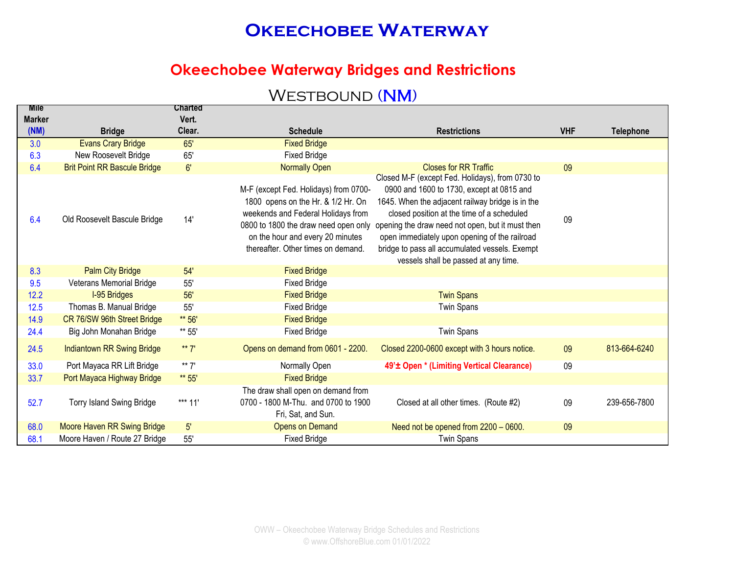#### **Okeechobee Waterway Bridges and Restrictions**

### WESTBOUND (NM)

| <b>MIIE</b>   |                                     | Charted |                                                                                                                                                                                                                                     |                                                                                                                                                                                                                                                                                                                                                                                               |            |                  |
|---------------|-------------------------------------|---------|-------------------------------------------------------------------------------------------------------------------------------------------------------------------------------------------------------------------------------------|-----------------------------------------------------------------------------------------------------------------------------------------------------------------------------------------------------------------------------------------------------------------------------------------------------------------------------------------------------------------------------------------------|------------|------------------|
| <b>Marker</b> |                                     | Vert.   |                                                                                                                                                                                                                                     |                                                                                                                                                                                                                                                                                                                                                                                               |            |                  |
| (NM)          | <b>Bridge</b>                       | Clear.  | <b>Schedule</b>                                                                                                                                                                                                                     | <b>Restrictions</b>                                                                                                                                                                                                                                                                                                                                                                           | <b>VHF</b> | <b>Telephone</b> |
| 3.0           | <b>Evans Crary Bridge</b>           | 65'     | <b>Fixed Bridge</b>                                                                                                                                                                                                                 |                                                                                                                                                                                                                                                                                                                                                                                               |            |                  |
| 6.3           | New Roosevelt Bridge                | 65'     | <b>Fixed Bridge</b>                                                                                                                                                                                                                 |                                                                                                                                                                                                                                                                                                                                                                                               |            |                  |
| 6.4           | <b>Brit Point RR Bascule Bridge</b> | 6'      | <b>Normally Open</b>                                                                                                                                                                                                                | <b>Closes for RR Traffic</b>                                                                                                                                                                                                                                                                                                                                                                  | 09         |                  |
| 6.4           | Old Roosevelt Bascule Bridge        | 14'     | M-F (except Fed. Holidays) from 0700-<br>1800 opens on the Hr. & 1/2 Hr. On<br>weekends and Federal Holidays from<br>0800 to 1800 the draw need open only<br>on the hour and every 20 minutes<br>thereafter. Other times on demand. | Closed M-F (except Fed. Holidays), from 0730 to<br>0900 and 1600 to 1730, except at 0815 and<br>1645. When the adjacent railway bridge is in the<br>closed position at the time of a scheduled<br>opening the draw need not open, but it must then<br>open immediately upon opening of the railroad<br>bridge to pass all accumulated vessels. Exempt<br>vessels shall be passed at any time. | 09         |                  |
| 8.3           | <b>Palm City Bridge</b>             | 54'     | <b>Fixed Bridge</b>                                                                                                                                                                                                                 |                                                                                                                                                                                                                                                                                                                                                                                               |            |                  |
| 9.5           | Veterans Memorial Bridge            | 55'     | <b>Fixed Bridge</b>                                                                                                                                                                                                                 |                                                                                                                                                                                                                                                                                                                                                                                               |            |                  |
| 12.2          | <b>I-95 Bridges</b>                 | 56'     | <b>Fixed Bridge</b>                                                                                                                                                                                                                 | <b>Twin Spans</b>                                                                                                                                                                                                                                                                                                                                                                             |            |                  |
| 12.5          | Thomas B. Manual Bridge             | 55'     | <b>Fixed Bridge</b>                                                                                                                                                                                                                 | <b>Twin Spans</b>                                                                                                                                                                                                                                                                                                                                                                             |            |                  |
| 14.9          | CR 76/SW 96th Street Bridge         | ** 56'  | <b>Fixed Bridge</b>                                                                                                                                                                                                                 |                                                                                                                                                                                                                                                                                                                                                                                               |            |                  |
| 24.4          | Big John Monahan Bridge             | ** 55'  | <b>Fixed Bridge</b>                                                                                                                                                                                                                 | Twin Spans                                                                                                                                                                                                                                                                                                                                                                                    |            |                  |
| 24.5          | Indiantown RR Swing Bridge          | ** $7'$ | Opens on demand from 0601 - 2200.                                                                                                                                                                                                   | Closed 2200-0600 except with 3 hours notice.                                                                                                                                                                                                                                                                                                                                                  | 09         | 813-664-6240     |
| 33.0          | Port Mayaca RR Lift Bridge          | $** 7'$ | Normally Open                                                                                                                                                                                                                       | 49' <sup>±</sup> Open * (Limiting Vertical Clearance)                                                                                                                                                                                                                                                                                                                                         | 09         |                  |
| 33.7          | Port Mayaca Highway Bridge          | ** 55'  | <b>Fixed Bridge</b>                                                                                                                                                                                                                 |                                                                                                                                                                                                                                                                                                                                                                                               |            |                  |
| 52.7          | Torry Island Swing Bridge           | *** 11' | The draw shall open on demand from<br>0700 - 1800 M-Thu. and 0700 to 1900<br>Fri, Sat, and Sun.                                                                                                                                     | Closed at all other times. (Route #2)                                                                                                                                                                                                                                                                                                                                                         | 09         | 239-656-7800     |
| 68.0          | Moore Haven RR Swing Bridge         | 5'      | <b>Opens on Demand</b>                                                                                                                                                                                                              | Need not be opened from 2200 - 0600.                                                                                                                                                                                                                                                                                                                                                          | 09         |                  |
| 68.1          | Moore Haven / Route 27 Bridge       | 55'     | <b>Fixed Bridge</b>                                                                                                                                                                                                                 | <b>Twin Spans</b>                                                                                                                                                                                                                                                                                                                                                                             |            |                  |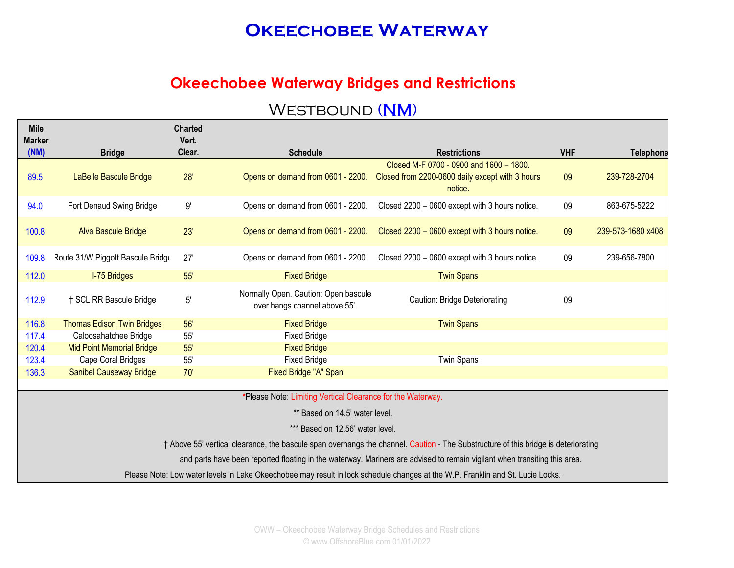#### **Okeechobee Waterway Bridges and Restrictions**

| <b>Mile</b><br><b>Marker</b> |                                   | <b>Charted</b><br>Vert. |                                                                       |                                                                                                                                    |            |                   |
|------------------------------|-----------------------------------|-------------------------|-----------------------------------------------------------------------|------------------------------------------------------------------------------------------------------------------------------------|------------|-------------------|
| (NM)                         | <b>Bridge</b>                     | Clear.                  | <b>Schedule</b>                                                       | <b>Restrictions</b>                                                                                                                | <b>VHF</b> | <b>Telephone</b>  |
| 89.5                         | LaBelle Bascule Bridge            | 28'                     | Opens on demand from 0601 - 2200.                                     | Closed M-F 0700 - 0900 and 1600 - 1800.<br>Closed from 2200-0600 daily except with 3 hours<br>notice.                              | 09         | 239-728-2704      |
| 94.0                         | Fort Denaud Swing Bridge          | 9'                      | Opens on demand from 0601 - 2200.                                     | Closed 2200 - 0600 except with 3 hours notice.                                                                                     | 09         | 863-675-5222      |
| 100.8                        | Alva Bascule Bridge               | 23'                     | Opens on demand from 0601 - 2200.                                     | Closed 2200 - 0600 except with 3 hours notice.                                                                                     | 09         | 239-573-1680 x408 |
| 109.8                        | Route 31/W.Piggott Bascule Bridge | 27'                     | Opens on demand from 0601 - 2200.                                     | Closed 2200 - 0600 except with 3 hours notice.                                                                                     | 09         | 239-656-7800      |
| 112.0                        | <b>I-75 Bridges</b>               | 55'                     | <b>Fixed Bridge</b>                                                   | <b>Twin Spans</b>                                                                                                                  |            |                   |
| 112.9                        | † SCL RR Bascule Bridge           | 5'                      | Normally Open. Caution: Open bascule<br>over hangs channel above 55'. | Caution: Bridge Deteriorating                                                                                                      | 09         |                   |
| 116.8                        | <b>Thomas Edison Twin Bridges</b> | 56'                     | <b>Fixed Bridge</b>                                                   | <b>Twin Spans</b>                                                                                                                  |            |                   |
| 117.4                        | Caloosahatchee Bridge             | 55'                     | <b>Fixed Bridge</b>                                                   |                                                                                                                                    |            |                   |
| 120.4                        | <b>Mid Point Memorial Bridge</b>  | 55'                     | <b>Fixed Bridge</b>                                                   |                                                                                                                                    |            |                   |
| 123.4                        | Cape Coral Bridges                | 55'                     | <b>Fixed Bridge</b>                                                   | <b>Twin Spans</b>                                                                                                                  |            |                   |
| 136.3                        | <b>Sanibel Causeway Bridge</b>    | 70'                     | Fixed Bridge "A" Span                                                 |                                                                                                                                    |            |                   |
|                              |                                   |                         |                                                                       |                                                                                                                                    |            |                   |
|                              |                                   |                         | *Please Note: Limiting Vertical Clearance for the Waterway.           |                                                                                                                                    |            |                   |
|                              |                                   |                         | ** Based on 14.5' water level.                                        |                                                                                                                                    |            |                   |
|                              |                                   |                         | *** Based on 12.56' water level.                                      |                                                                                                                                    |            |                   |
|                              |                                   |                         |                                                                       | † Above 55' vertical clearance, the bascule span overhangs the channel. Caution - The Substructure of this bridge is deteriorating |            |                   |
|                              |                                   |                         |                                                                       | and parts have been reported floating in the waterway. Mariners are advised to remain vigilant when transiting this area.          |            |                   |
|                              |                                   |                         |                                                                       | Please Note: Low water levels in Lake Okeechobee may result in lock schedule changes at the W.P. Franklin and St. Lucie Locks.     |            |                   |
|                              |                                   |                         |                                                                       |                                                                                                                                    |            |                   |

### WESTBOUND (NM)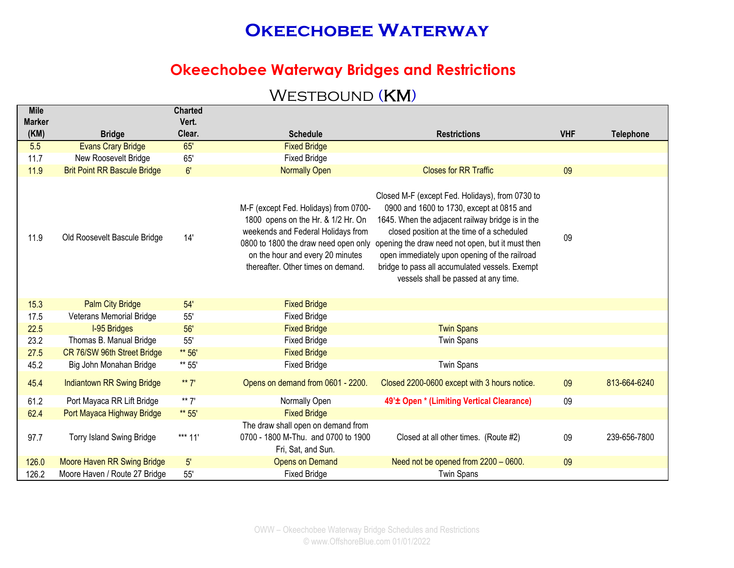#### **Okeechobee Waterway Bridges and Restrictions**

### WESTBOUND (KM)

| <b>Mile</b>   |                                     | <b>Charted</b> |                                                                                                                                                                                             |                                                                                                                                                                                                                                                                                                                                                                                                                                    |            |                  |
|---------------|-------------------------------------|----------------|---------------------------------------------------------------------------------------------------------------------------------------------------------------------------------------------|------------------------------------------------------------------------------------------------------------------------------------------------------------------------------------------------------------------------------------------------------------------------------------------------------------------------------------------------------------------------------------------------------------------------------------|------------|------------------|
| <b>Marker</b> |                                     | Vert.          |                                                                                                                                                                                             |                                                                                                                                                                                                                                                                                                                                                                                                                                    |            |                  |
| (KM)          | <b>Bridge</b>                       | Clear.         | <b>Schedule</b>                                                                                                                                                                             | <b>Restrictions</b>                                                                                                                                                                                                                                                                                                                                                                                                                | <b>VHF</b> | <b>Telephone</b> |
| 5.5           | <b>Evans Crary Bridge</b>           | 65'            | <b>Fixed Bridge</b>                                                                                                                                                                         |                                                                                                                                                                                                                                                                                                                                                                                                                                    |            |                  |
| 11.7          | New Roosevelt Bridge                | 65'            | <b>Fixed Bridge</b>                                                                                                                                                                         |                                                                                                                                                                                                                                                                                                                                                                                                                                    |            |                  |
| 11.9          | <b>Brit Point RR Bascule Bridge</b> | 6'             | <b>Normally Open</b>                                                                                                                                                                        | <b>Closes for RR Traffic</b>                                                                                                                                                                                                                                                                                                                                                                                                       | 09         |                  |
| 11.9          | Old Roosevelt Bascule Bridge        | 14'            | M-F (except Fed. Holidays) from 0700-<br>1800 opens on the Hr. & 1/2 Hr. On<br>weekends and Federal Holidays from<br>on the hour and every 20 minutes<br>thereafter. Other times on demand. | Closed M-F (except Fed. Holidays), from 0730 to<br>0900 and 1600 to 1730, except at 0815 and<br>1645. When the adjacent railway bridge is in the<br>closed position at the time of a scheduled<br>0800 to 1800 the draw need open only opening the draw need not open, but it must then<br>open immediately upon opening of the railroad<br>bridge to pass all accumulated vessels. Exempt<br>vessels shall be passed at any time. | 09         |                  |
| 15.3          | <b>Palm City Bridge</b>             | 54'            | <b>Fixed Bridge</b>                                                                                                                                                                         |                                                                                                                                                                                                                                                                                                                                                                                                                                    |            |                  |
| 17.5          | Veterans Memorial Bridge            | 55'            | <b>Fixed Bridge</b>                                                                                                                                                                         |                                                                                                                                                                                                                                                                                                                                                                                                                                    |            |                  |
| 22.5          | <b>I-95 Bridges</b>                 | 56'            | <b>Fixed Bridge</b>                                                                                                                                                                         | <b>Twin Spans</b>                                                                                                                                                                                                                                                                                                                                                                                                                  |            |                  |
| 23.2          | Thomas B. Manual Bridge             | 55'            | <b>Fixed Bridge</b>                                                                                                                                                                         | <b>Twin Spans</b>                                                                                                                                                                                                                                                                                                                                                                                                                  |            |                  |
| 27.5          | CR 76/SW 96th Street Bridge         | ** 56'         | <b>Fixed Bridge</b>                                                                                                                                                                         |                                                                                                                                                                                                                                                                                                                                                                                                                                    |            |                  |
| 45.2          | Big John Monahan Bridge             | ** 55'         | <b>Fixed Bridge</b>                                                                                                                                                                         | <b>Twin Spans</b>                                                                                                                                                                                                                                                                                                                                                                                                                  |            |                  |
| 45.4          | <b>Indiantown RR Swing Bridge</b>   | ** $7'$        | Opens on demand from 0601 - 2200.                                                                                                                                                           | Closed 2200-0600 except with 3 hours notice.                                                                                                                                                                                                                                                                                                                                                                                       | 09         | 813-664-6240     |
| 61.2          | Port Mayaca RR Lift Bridge          | ** $7'$        | Normally Open                                                                                                                                                                               | 49' <sup>±</sup> Open * (Limiting Vertical Clearance)                                                                                                                                                                                                                                                                                                                                                                              | 09         |                  |
| 62.4          | Port Mayaca Highway Bridge          | ** 55'         | <b>Fixed Bridge</b>                                                                                                                                                                         |                                                                                                                                                                                                                                                                                                                                                                                                                                    |            |                  |
| 97.7          | <b>Torry Island Swing Bridge</b>    | *** 11'        | The draw shall open on demand from<br>0700 - 1800 M-Thu. and 0700 to 1900<br>Fri, Sat, and Sun.                                                                                             | Closed at all other times. (Route #2)                                                                                                                                                                                                                                                                                                                                                                                              | 09         | 239-656-7800     |
| 126.0         | Moore Haven RR Swing Bridge         | 5'             | <b>Opens on Demand</b>                                                                                                                                                                      | Need not be opened from 2200 - 0600.                                                                                                                                                                                                                                                                                                                                                                                               | 09         |                  |
| 126.2         | Moore Haven / Route 27 Bridge       | 55'            | <b>Fixed Bridge</b>                                                                                                                                                                         | <b>Twin Spans</b>                                                                                                                                                                                                                                                                                                                                                                                                                  |            |                  |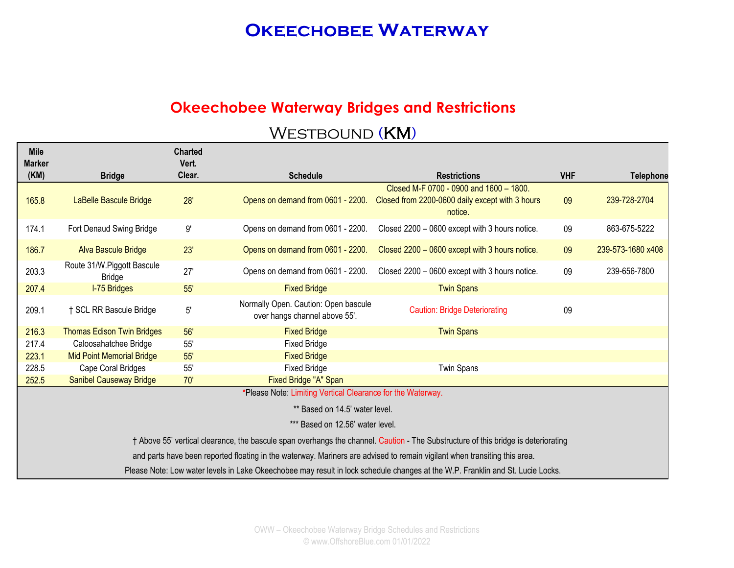### **Okeechobee Waterway Bridges and Restrictions**

#### WESTBOUND (KM)

**Charted** 

**Mile** 

| <b>MIIG</b><br><b>Marker</b><br>(KM) | <b>Bridge</b>                               | <b>Charted</b><br>Vert.<br>Clear. | <b>Schedule</b>                                                       | <b>Restrictions</b>                                                                                                                | <b>VHF</b> | <b>Telephone</b>  |
|--------------------------------------|---------------------------------------------|-----------------------------------|-----------------------------------------------------------------------|------------------------------------------------------------------------------------------------------------------------------------|------------|-------------------|
|                                      |                                             |                                   |                                                                       | Closed M-F 0700 - 0900 and 1600 - 1800.                                                                                            |            |                   |
| 165.8                                | LaBelle Bascule Bridge                      | 28'                               | Opens on demand from 0601 - 2200.                                     | Closed from 2200-0600 daily except with 3 hours<br>notice.                                                                         | 09         | 239-728-2704      |
| 174.1                                | Fort Denaud Swing Bridge                    | $9^\circ$                         | Opens on demand from 0601 - 2200.                                     | Closed 2200 - 0600 except with 3 hours notice.                                                                                     | 09         | 863-675-5222      |
| 186.7                                | <b>Alva Bascule Bridge</b>                  | 23'                               | Opens on demand from 0601 - 2200.                                     | Closed 2200 - 0600 except with 3 hours notice.                                                                                     | 09         | 239-573-1680 x408 |
| 203.3                                | Route 31/W.Piggott Bascule<br><b>Bridge</b> | 27'                               | Opens on demand from 0601 - 2200.                                     | Closed 2200 - 0600 except with 3 hours notice.                                                                                     | 09         | 239-656-7800      |
| 207.4                                | <b>I-75 Bridges</b>                         | 55'                               | <b>Fixed Bridge</b>                                                   | <b>Twin Spans</b>                                                                                                                  |            |                   |
| 209.1                                | † SCL RR Bascule Bridge                     | $5^{\circ}$                       | Normally Open. Caution: Open bascule<br>over hangs channel above 55'. | <b>Caution: Bridge Deteriorating</b>                                                                                               | 09         |                   |
| 216.3                                | <b>Thomas Edison Twin Bridges</b>           | 56'                               | <b>Fixed Bridge</b>                                                   | <b>Twin Spans</b>                                                                                                                  |            |                   |
| 217.4                                | Caloosahatchee Bridge                       | 55'                               | <b>Fixed Bridge</b>                                                   |                                                                                                                                    |            |                   |
| 223.1                                | <b>Mid Point Memorial Bridge</b>            | 55'                               | <b>Fixed Bridge</b>                                                   |                                                                                                                                    |            |                   |
| 228.5                                | Cape Coral Bridges                          | 55'                               | <b>Fixed Bridge</b>                                                   | <b>Twin Spans</b>                                                                                                                  |            |                   |
| 252.5                                | <b>Sanibel Causeway Bridge</b>              | 70'                               | Fixed Bridge "A" Span                                                 |                                                                                                                                    |            |                   |
|                                      |                                             |                                   | *Please Note: Limiting Vertical Clearance for the Waterway.           |                                                                                                                                    |            |                   |
|                                      |                                             |                                   | ** Based on 14.5' water level.                                        |                                                                                                                                    |            |                   |
|                                      |                                             |                                   | *** Based on 12.56' water level.                                      |                                                                                                                                    |            |                   |
|                                      |                                             |                                   |                                                                       | † Above 55' vertical clearance, the bascule span overhangs the channel. Caution - The Substructure of this bridge is deteriorating |            |                   |
|                                      |                                             |                                   |                                                                       | and parts have been reported floating in the waterway. Mariners are advised to remain vigilant when transiting this area.          |            |                   |
|                                      |                                             |                                   |                                                                       | Please Note: Low water levels in Lake Okeechobee may result in lock schedule changes at the W.P. Franklin and St. Lucie Locks.     |            |                   |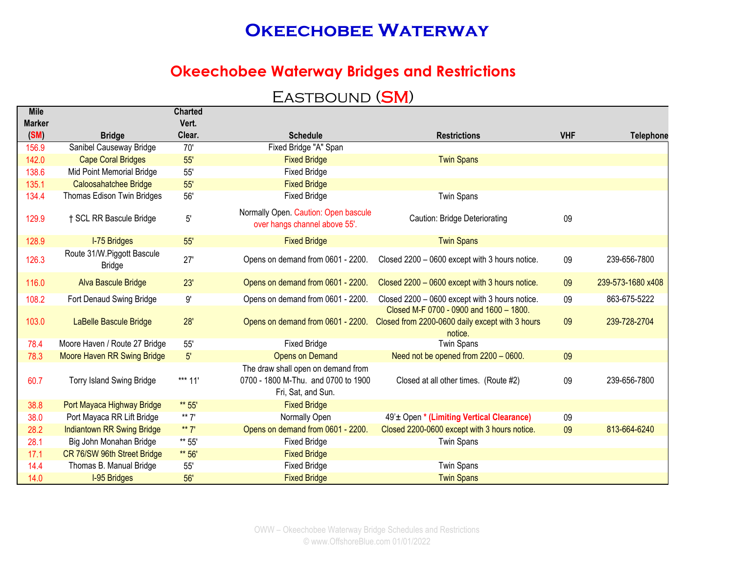#### **Okeechobee Waterway Bridges and Restrictions**

### EASTBOUND (SM)

| <b>Mile</b><br><b>Marker</b> |                                             | <b>Charted</b><br>Vert. |                                                                                                 |                                                                                                       |            |                   |
|------------------------------|---------------------------------------------|-------------------------|-------------------------------------------------------------------------------------------------|-------------------------------------------------------------------------------------------------------|------------|-------------------|
| (SM)                         | <b>Bridge</b>                               | Clear.                  | <b>Schedule</b>                                                                                 | <b>Restrictions</b>                                                                                   | <b>VHF</b> | <b>Telephone</b>  |
| 156.9                        | Sanibel Causeway Bridge                     | 70'                     | Fixed Bridge "A" Span                                                                           |                                                                                                       |            |                   |
| 142.0                        | <b>Cape Coral Bridges</b>                   | 55'                     | <b>Fixed Bridge</b>                                                                             | <b>Twin Spans</b>                                                                                     |            |                   |
| 138.6                        | Mid Point Memorial Bridge                   | 55'                     | <b>Fixed Bridge</b>                                                                             |                                                                                                       |            |                   |
| 135.1                        | Caloosahatchee Bridge                       | 55'                     | <b>Fixed Bridge</b>                                                                             |                                                                                                       |            |                   |
| 134.4                        | Thomas Edison Twin Bridges                  | 56'                     | <b>Fixed Bridge</b>                                                                             | <b>Twin Spans</b>                                                                                     |            |                   |
| 129.9                        | † SCL RR Bascule Bridge                     | 5'                      | Normally Open. Caution: Open bascule<br>over hangs channel above 55'.                           | Caution: Bridge Deteriorating                                                                         | 09         |                   |
| 128.9                        | <b>I-75 Bridges</b>                         | 55'                     | <b>Fixed Bridge</b>                                                                             | <b>Twin Spans</b>                                                                                     |            |                   |
| 126.3                        | Route 31/W.Piggott Bascule<br><b>Bridge</b> | 27'                     | Opens on demand from 0601 - 2200.                                                               | Closed 2200 - 0600 except with 3 hours notice.                                                        | 09         | 239-656-7800      |
| 116.0                        | <b>Alva Bascule Bridge</b>                  | 23'                     | Opens on demand from 0601 - 2200.                                                               | Closed 2200 - 0600 except with 3 hours notice.                                                        | 09         | 239-573-1680 x408 |
| 108.2                        | Fort Denaud Swing Bridge                    | 9'                      | Opens on demand from 0601 - 2200.                                                               | Closed 2200 - 0600 except with 3 hours notice.                                                        | 09         | 863-675-5222      |
| 103.0                        | LaBelle Bascule Bridge                      | 28'                     | Opens on demand from 0601 - 2200.                                                               | Closed M-F 0700 - 0900 and 1600 - 1800.<br>Closed from 2200-0600 daily except with 3 hours<br>notice. | 09         | 239-728-2704      |
| 78.4                         | Moore Haven / Route 27 Bridge               | 55'                     | <b>Fixed Bridge</b>                                                                             | <b>Twin Spans</b>                                                                                     |            |                   |
| 78.3                         | <b>Moore Haven RR Swing Bridge</b>          | 5'                      | <b>Opens on Demand</b>                                                                          | Need not be opened from 2200 - 0600.                                                                  | 09         |                   |
| 60.7                         | <b>Torry Island Swing Bridge</b>            | *** 11'                 | The draw shall open on demand from<br>0700 - 1800 M-Thu. and 0700 to 1900<br>Fri, Sat, and Sun. | Closed at all other times. (Route #2)                                                                 | 09         | 239-656-7800      |
| 38.8                         | Port Mayaca Highway Bridge                  | ** 55'                  | <b>Fixed Bridge</b>                                                                             |                                                                                                       |            |                   |
| 38.0                         | Port Mayaca RR Lift Bridge                  | ** 7'                   | Normally Open                                                                                   | 49'± Open * (Limiting Vertical Clearance)                                                             | 09         |                   |
| 28.2                         | <b>Indiantown RR Swing Bridge</b>           | ** $7'$                 | Opens on demand from 0601 - 2200.                                                               | Closed 2200-0600 except with 3 hours notice.                                                          | 09         | 813-664-6240      |
| 28.1                         | Big John Monahan Bridge                     | ** 55'                  | <b>Fixed Bridge</b>                                                                             | <b>Twin Spans</b>                                                                                     |            |                   |
| 17.1                         | CR 76/SW 96th Street Bridge                 | ** 56'                  | <b>Fixed Bridge</b>                                                                             |                                                                                                       |            |                   |
| 14.4                         | Thomas B. Manual Bridge                     | 55'                     | <b>Fixed Bridge</b>                                                                             | <b>Twin Spans</b>                                                                                     |            |                   |
| 14.0                         | <b>I-95 Bridges</b>                         | 56'                     | <b>Fixed Bridge</b>                                                                             | <b>Twin Spans</b>                                                                                     |            |                   |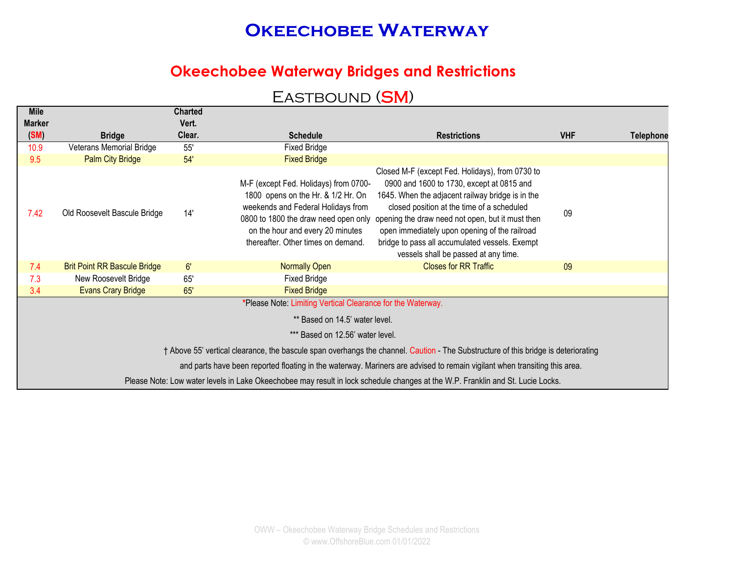#### **Okeechobee Waterway Bridges and Restrictions**

### EASTBOUND (SM)

| <b>Mile</b>   |                                     | <b>Charted</b> |                                                                                                                                                                                             |                                                                                                                                                                                                                                                                                                                                                                                                                                    |            |                  |
|---------------|-------------------------------------|----------------|---------------------------------------------------------------------------------------------------------------------------------------------------------------------------------------------|------------------------------------------------------------------------------------------------------------------------------------------------------------------------------------------------------------------------------------------------------------------------------------------------------------------------------------------------------------------------------------------------------------------------------------|------------|------------------|
| <b>Marker</b> |                                     | Vert.          |                                                                                                                                                                                             |                                                                                                                                                                                                                                                                                                                                                                                                                                    |            |                  |
| (SM)          | <b>Bridge</b>                       | Clear.         | <b>Schedule</b>                                                                                                                                                                             | <b>Restrictions</b>                                                                                                                                                                                                                                                                                                                                                                                                                | <b>VHF</b> | <b>Telephone</b> |
| 10.9          | <b>Veterans Memorial Bridge</b>     | 55'            | <b>Fixed Bridge</b>                                                                                                                                                                         |                                                                                                                                                                                                                                                                                                                                                                                                                                    |            |                  |
| 9.5           | <b>Palm City Bridge</b>             | 54'            | <b>Fixed Bridge</b>                                                                                                                                                                         |                                                                                                                                                                                                                                                                                                                                                                                                                                    |            |                  |
| 7.42          | Old Roosevelt Bascule Bridge        | 14'            | M-F (except Fed. Holidays) from 0700-<br>1800 opens on the Hr. & 1/2 Hr. On<br>weekends and Federal Holidays from<br>on the hour and every 20 minutes<br>thereafter. Other times on demand. | Closed M-F (except Fed. Holidays), from 0730 to<br>0900 and 1600 to 1730, except at 0815 and<br>1645. When the adjacent railway bridge is in the<br>closed position at the time of a scheduled<br>0800 to 1800 the draw need open only opening the draw need not open, but it must then<br>open immediately upon opening of the railroad<br>bridge to pass all accumulated vessels. Exempt<br>vessels shall be passed at any time. | 09         |                  |
| 7.4           | <b>Brit Point RR Bascule Bridge</b> | 6'             | Normally Open                                                                                                                                                                               | <b>Closes for RR Traffic</b>                                                                                                                                                                                                                                                                                                                                                                                                       | 09         |                  |
| 7.3           | New Roosevelt Bridge                | 65'            | <b>Fixed Bridge</b>                                                                                                                                                                         |                                                                                                                                                                                                                                                                                                                                                                                                                                    |            |                  |
| 3.4           | <b>Evans Crary Bridge</b>           | 65'            | <b>Fixed Bridge</b>                                                                                                                                                                         |                                                                                                                                                                                                                                                                                                                                                                                                                                    |            |                  |
|               |                                     |                | *Please Note: Limiting Vertical Clearance for the Waterway.                                                                                                                                 |                                                                                                                                                                                                                                                                                                                                                                                                                                    |            |                  |
|               |                                     |                | ** Based on 14.5' water level.                                                                                                                                                              |                                                                                                                                                                                                                                                                                                                                                                                                                                    |            |                  |
|               |                                     |                | *** Based on 12.56' water level.                                                                                                                                                            |                                                                                                                                                                                                                                                                                                                                                                                                                                    |            |                  |
|               |                                     |                |                                                                                                                                                                                             | † Above 55' vertical clearance, the bascule span overhangs the channel. Caution - The Substructure of this bridge is deteriorating                                                                                                                                                                                                                                                                                                 |            |                  |
|               |                                     |                |                                                                                                                                                                                             | and parts have been reported floating in the waterway. Mariners are advised to remain vigilant when transiting this area.                                                                                                                                                                                                                                                                                                          |            |                  |
|               |                                     |                |                                                                                                                                                                                             | Please Note: Low water levels in Lake Okeechobee may result in lock schedule changes at the W.P. Franklin and St. Lucie Locks.                                                                                                                                                                                                                                                                                                     |            |                  |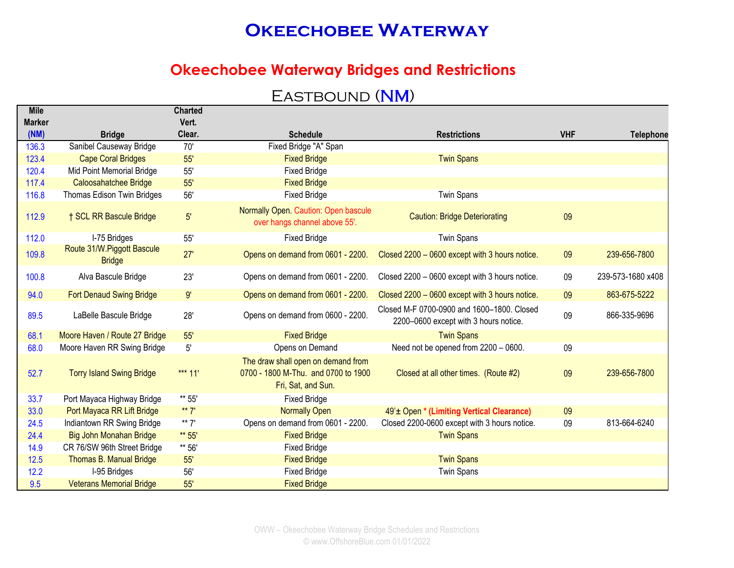#### **Okeechobee Waterway Bridges and Restrictions**

#### EASTBOUND (NM)

| <b>Mile</b>   |                                             | <b>Charted</b> |                                                                                                 |                                                                                     |            |                   |
|---------------|---------------------------------------------|----------------|-------------------------------------------------------------------------------------------------|-------------------------------------------------------------------------------------|------------|-------------------|
| <b>Marker</b> |                                             | Vert.          |                                                                                                 |                                                                                     |            |                   |
| (NM)          | <b>Bridge</b>                               | Clear.         | <b>Schedule</b>                                                                                 | <b>Restrictions</b>                                                                 | <b>VHF</b> | <b>Telephone</b>  |
| 136.3         | Sanibel Causeway Bridge                     | 70'            | Fixed Bridge "A" Span                                                                           |                                                                                     |            |                   |
| 123.4         | <b>Cape Coral Bridges</b>                   | 55'            | <b>Fixed Bridge</b>                                                                             | <b>Twin Spans</b>                                                                   |            |                   |
| 120.4         | Mid Point Memorial Bridge                   | 55'            | <b>Fixed Bridge</b>                                                                             |                                                                                     |            |                   |
| 117.4         | Caloosahatchee Bridge                       | 55'            | <b>Fixed Bridge</b>                                                                             |                                                                                     |            |                   |
| 116.8         | Thomas Edison Twin Bridges                  | 56'            | <b>Fixed Bridge</b>                                                                             | <b>Twin Spans</b>                                                                   |            |                   |
| 112.9         | † SCL RR Bascule Bridge                     | 5'             | Normally Open. Caution: Open bascule<br>over hangs channel above 55'.                           | <b>Caution: Bridge Deteriorating</b>                                                | 09         |                   |
| 112.0         | I-75 Bridges                                | 55'            | <b>Fixed Bridge</b>                                                                             | <b>Twin Spans</b>                                                                   |            |                   |
| 109.8         | Route 31/W.Piggott Bascule<br><b>Bridge</b> | 27'            | Opens on demand from 0601 - 2200.                                                               | Closed 2200 - 0600 except with 3 hours notice.                                      | 09         | 239-656-7800      |
| 100.8         | Alva Bascule Bridge                         | 23'            | Opens on demand from 0601 - 2200.                                                               | Closed 2200 - 0600 except with 3 hours notice.                                      | 09         | 239-573-1680 x408 |
| 94.0          | <b>Fort Denaud Swing Bridge</b>             | 9'             | Opens on demand from 0601 - 2200.                                                               | Closed 2200 - 0600 except with 3 hours notice.                                      | 09         | 863-675-5222      |
| 89.5          | LaBelle Bascule Bridge                      | 28'            | Opens on demand from 0600 - 2200.                                                               | Closed M-F 0700-0900 and 1600-1800. Closed<br>2200-0600 except with 3 hours notice. | 09         | 866-335-9696      |
| 68.1          | Moore Haven / Route 27 Bridge               | 55'            | <b>Fixed Bridge</b>                                                                             | <b>Twin Spans</b>                                                                   |            |                   |
| 68.0          | Moore Haven RR Swing Bridge                 | 5'             | Opens on Demand                                                                                 | Need not be opened from 2200 - 0600.                                                | 09         |                   |
| 52.7          | <b>Torry Island Swing Bridge</b>            | *** $11'$      | The draw shall open on demand from<br>0700 - 1800 M-Thu. and 0700 to 1900<br>Fri, Sat, and Sun. | Closed at all other times. (Route #2)                                               | 09         | 239-656-7800      |
| 33.7          | Port Mayaca Highway Bridge                  | ** 55'         | <b>Fixed Bridge</b>                                                                             |                                                                                     |            |                   |
| 33.0          | Port Mayaca RR Lift Bridge                  | ** $7'$        | <b>Normally Open</b>                                                                            | 49' ± Open * (Limiting Vertical Clearance)                                          | 09         |                   |
| 24.5          | Indiantown RR Swing Bridge                  | ** $7'$        | Opens on demand from 0601 - 2200.                                                               | Closed 2200-0600 except with 3 hours notice.                                        | 09         | 813-664-6240      |
| 24.4          | Big John Monahan Bridge                     | ** 55'         | <b>Fixed Bridge</b>                                                                             | <b>Twin Spans</b>                                                                   |            |                   |
| 14.9          | CR 76/SW 96th Street Bridge                 | ** 56'         | <b>Fixed Bridge</b>                                                                             |                                                                                     |            |                   |
| 12.5          | Thomas B. Manual Bridge                     | 55'            | <b>Fixed Bridge</b>                                                                             | <b>Twin Spans</b>                                                                   |            |                   |
| 12.2          | I-95 Bridges                                | 56'            | <b>Fixed Bridge</b>                                                                             | <b>Twin Spans</b>                                                                   |            |                   |
| 9.5           | <b>Veterans Memorial Bridge</b>             | 55'            | <b>Fixed Bridge</b>                                                                             |                                                                                     |            |                   |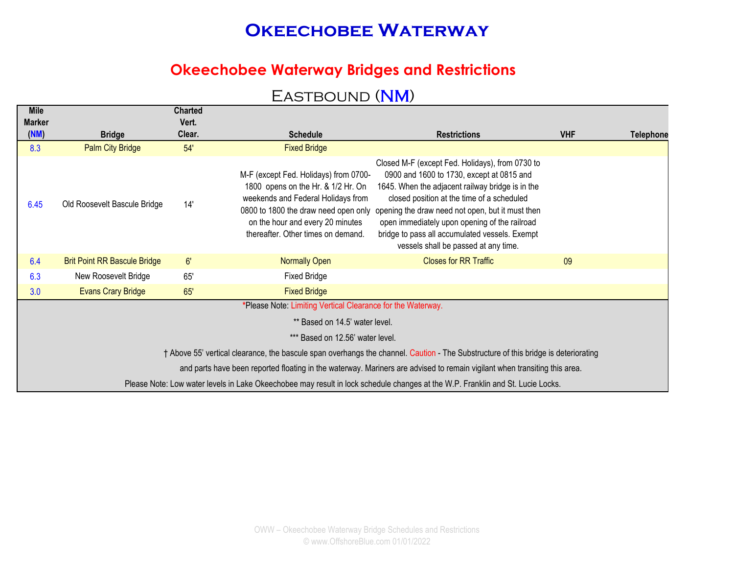### **Okeechobee Waterway Bridges and Restrictions**

#### EASTBOUND (NM)

| <b>Mile</b><br><b>Marker</b> |                                     | <b>Charted</b><br>Vert. |                                                                                                                                                                                             |                                                                                                                                                                                                                                                                                                                                                                                                                                    |            |                  |
|------------------------------|-------------------------------------|-------------------------|---------------------------------------------------------------------------------------------------------------------------------------------------------------------------------------------|------------------------------------------------------------------------------------------------------------------------------------------------------------------------------------------------------------------------------------------------------------------------------------------------------------------------------------------------------------------------------------------------------------------------------------|------------|------------------|
| (NM)                         | <b>Bridge</b>                       | Clear.                  | <b>Schedule</b>                                                                                                                                                                             | <b>Restrictions</b>                                                                                                                                                                                                                                                                                                                                                                                                                | <b>VHF</b> | <b>Telephone</b> |
| 8.3                          | <b>Palm City Bridge</b>             | 54'                     | <b>Fixed Bridge</b>                                                                                                                                                                         |                                                                                                                                                                                                                                                                                                                                                                                                                                    |            |                  |
| 6.45                         | Old Roosevelt Bascule Bridge        | 14'                     | M-F (except Fed. Holidays) from 0700-<br>1800 opens on the Hr. & 1/2 Hr. On<br>weekends and Federal Holidays from<br>on the hour and every 20 minutes<br>thereafter. Other times on demand. | Closed M-F (except Fed. Holidays), from 0730 to<br>0900 and 1600 to 1730, except at 0815 and<br>1645. When the adjacent railway bridge is in the<br>closed position at the time of a scheduled<br>0800 to 1800 the draw need open only opening the draw need not open, but it must then<br>open immediately upon opening of the railroad<br>bridge to pass all accumulated vessels. Exempt<br>vessels shall be passed at any time. |            |                  |
| 6.4                          | <b>Brit Point RR Bascule Bridge</b> | 6'                      | <b>Normally Open</b>                                                                                                                                                                        | <b>Closes for RR Traffic</b>                                                                                                                                                                                                                                                                                                                                                                                                       | 09         |                  |
| 6.3                          | New Roosevelt Bridge                | 65'                     | <b>Fixed Bridge</b>                                                                                                                                                                         |                                                                                                                                                                                                                                                                                                                                                                                                                                    |            |                  |
| 3.0                          | <b>Evans Crary Bridge</b>           | 65'                     | <b>Fixed Bridge</b>                                                                                                                                                                         |                                                                                                                                                                                                                                                                                                                                                                                                                                    |            |                  |
|                              |                                     |                         | *Please Note: Limiting Vertical Clearance for the Waterway.                                                                                                                                 |                                                                                                                                                                                                                                                                                                                                                                                                                                    |            |                  |
|                              |                                     |                         | ** Based on 14.5' water level.                                                                                                                                                              |                                                                                                                                                                                                                                                                                                                                                                                                                                    |            |                  |
|                              |                                     |                         | *** Based on 12.56' water level.                                                                                                                                                            |                                                                                                                                                                                                                                                                                                                                                                                                                                    |            |                  |
|                              |                                     |                         |                                                                                                                                                                                             | † Above 55' vertical clearance, the bascule span overhangs the channel. Caution - The Substructure of this bridge is deteriorating                                                                                                                                                                                                                                                                                                 |            |                  |
|                              |                                     |                         |                                                                                                                                                                                             | and parts have been reported floating in the waterway. Mariners are advised to remain vigilant when transiting this area.                                                                                                                                                                                                                                                                                                          |            |                  |
|                              |                                     |                         |                                                                                                                                                                                             | Please Note: Low water levels in Lake Okeechobee may result in lock schedule changes at the W.P. Franklin and St. Lucie Locks.                                                                                                                                                                                                                                                                                                     |            |                  |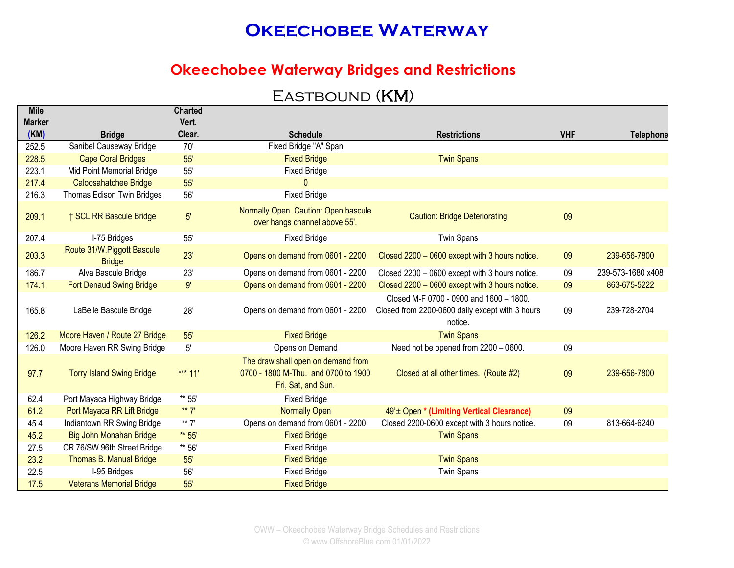#### **Okeechobee Waterway Bridges and Restrictions**

### EASTBOUND (KM)

| <b>Mile</b>   |                                             | <b>Charted</b> |                                                                                                 |                                                                                                       |            |                   |
|---------------|---------------------------------------------|----------------|-------------------------------------------------------------------------------------------------|-------------------------------------------------------------------------------------------------------|------------|-------------------|
| <b>Marker</b> |                                             | Vert.          |                                                                                                 |                                                                                                       |            |                   |
| (KM)          | <b>Bridge</b>                               | Clear.         | <b>Schedule</b>                                                                                 | <b>Restrictions</b>                                                                                   | <b>VHF</b> | <b>Telephone</b>  |
| 252.5         | Sanibel Causeway Bridge                     | 70'            | Fixed Bridge "A" Span                                                                           |                                                                                                       |            |                   |
| 228.5         | <b>Cape Coral Bridges</b>                   | 55'            | <b>Fixed Bridge</b>                                                                             | <b>Twin Spans</b>                                                                                     |            |                   |
| 223.1         | Mid Point Memorial Bridge                   | 55'            | <b>Fixed Bridge</b>                                                                             |                                                                                                       |            |                   |
| 217.4         | Caloosahatchee Bridge                       | 55'            | $\Omega$                                                                                        |                                                                                                       |            |                   |
| 216.3         | Thomas Edison Twin Bridges                  | 56'            | <b>Fixed Bridge</b>                                                                             |                                                                                                       |            |                   |
| 209.1         | † SCL RR Bascule Bridge                     | 5'             | Normally Open. Caution: Open bascule<br>over hangs channel above 55'.                           | <b>Caution: Bridge Deteriorating</b>                                                                  | 09         |                   |
| 207.4         | I-75 Bridges                                | 55'            | <b>Fixed Bridge</b>                                                                             | <b>Twin Spans</b>                                                                                     |            |                   |
| 203.3         | Route 31/W.Piggott Bascule<br><b>Bridge</b> | 23'            | Opens on demand from 0601 - 2200.                                                               | Closed 2200 - 0600 except with 3 hours notice.                                                        | 09         | 239-656-7800      |
| 186.7         | Alva Bascule Bridge                         | 23'            | Opens on demand from 0601 - 2200.                                                               | Closed 2200 - 0600 except with 3 hours notice.                                                        | 09         | 239-573-1680 x408 |
| 174.1         | <b>Fort Denaud Swing Bridge</b>             | 9'             | Opens on demand from 0601 - 2200.                                                               | Closed 2200 - 0600 except with 3 hours notice.                                                        | 09         | 863-675-5222      |
| 165.8         | LaBelle Bascule Bridge                      | 28'            | Opens on demand from 0601 - 2200.                                                               | Closed M-F 0700 - 0900 and 1600 - 1800.<br>Closed from 2200-0600 daily except with 3 hours<br>notice. | 09         | 239-728-2704      |
| 126.2         | Moore Haven / Route 27 Bridge               | 55'            | <b>Fixed Bridge</b>                                                                             | <b>Twin Spans</b>                                                                                     |            |                   |
| 126.0         | Moore Haven RR Swing Bridge                 | $5'$           | Opens on Demand                                                                                 | Need not be opened from 2200 - 0600.                                                                  | 09         |                   |
| 97.7          | <b>Torry Island Swing Bridge</b>            | *** $11'$      | The draw shall open on demand from<br>0700 - 1800 M-Thu. and 0700 to 1900<br>Fri, Sat, and Sun. | Closed at all other times. (Route #2)                                                                 | 09         | 239-656-7800      |
| 62.4          | Port Mayaca Highway Bridge                  | ** 55'         | <b>Fixed Bridge</b>                                                                             |                                                                                                       |            |                   |
| 61.2          | Port Mayaca RR Lift Bridge                  | ** $7'$        | <b>Normally Open</b>                                                                            | 49' ± Open * (Limiting Vertical Clearance)                                                            | 09         |                   |
| 45.4          | Indiantown RR Swing Bridge                  | ** $7'$        | Opens on demand from 0601 - 2200.                                                               | Closed 2200-0600 except with 3 hours notice.                                                          | 09         | 813-664-6240      |
| 45.2          | Big John Monahan Bridge                     | ** 55'         | <b>Fixed Bridge</b>                                                                             | <b>Twin Spans</b>                                                                                     |            |                   |
| 27.5          | CR 76/SW 96th Street Bridge                 | ** 56'         | <b>Fixed Bridge</b>                                                                             |                                                                                                       |            |                   |
| 23.2          | Thomas B. Manual Bridge                     | 55'            | <b>Fixed Bridge</b>                                                                             | <b>Twin Spans</b>                                                                                     |            |                   |
| 22.5          | I-95 Bridges                                | 56'            | <b>Fixed Bridge</b>                                                                             | <b>Twin Spans</b>                                                                                     |            |                   |
| 17.5          | <b>Veterans Memorial Bridge</b>             | 55'            | <b>Fixed Bridge</b>                                                                             |                                                                                                       |            |                   |